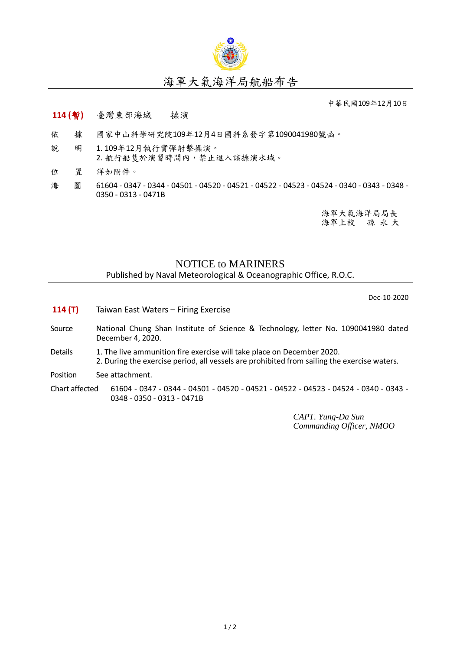

## 海軍大氣海洋局航船布告

中華民國109年12月10日

## **114 (**暫**)** 臺灣東部海域 - 操演

- 依 據 國家中山科學研究院109年12月4日國科系發字第1090041980號函。
- 說 明 1. 109年12月執行實彈射擊操演。 2. 航行船隻於演習時間內,禁止進入該操演水域。
- 位 置 詳如附件。
- 海 圖 61604 0347 0344 04501 04520 04521 04522 04523 04524 0340 0343 0348 -0350 - 0313 - 0471B

海軍大氣海洋局局長 海軍上校 孫 永 大

## NOTICE to MARINERS

Published by Naval Meteorological & Oceanographic Office, R.O.C.

Dec-10-2020

- **114 (T)** Taiwan East Waters Firing Exercise
- Source National Chung Shan Institute of Science & Technology, letter No. 1090041980 dated December 4, 2020.
- Details 1. The live ammunition fire exercise will take place on December 2020. 2. During the exercise period, all vessels are prohibited from sailing the exercise waters.

Position See attachment.

Chart affected 61604 - 0347 - 0344 - 04501 - 04520 - 04521 - 04522 - 04523 - 04524 - 0340 - 0343 - 0348 - 0350 - 0313 - 0471B

> *CAPT. Yung-Da Sun Commanding Officer, NMOO*